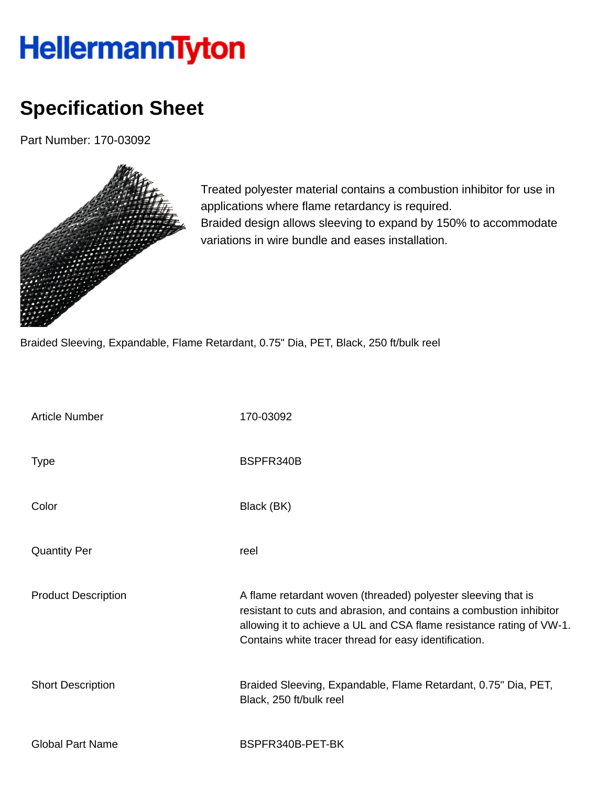## HellermannTyton

## **Specification Sheet**

Part Number: 170-03092



Treated polyester material contains a combustion inhibitor for use in applications where flame retardancy is required. Braided design allows sleeving to expand by 150% to accommodate variations in wire bundle and eases installation.

Braided Sleeving, Expandable, Flame Retardant, 0.75" Dia, PET, Black, 250 ft/bulk reel

| <b>Article Number</b>      | 170-03092                                                                                                                                                                                                                                                             |
|----------------------------|-----------------------------------------------------------------------------------------------------------------------------------------------------------------------------------------------------------------------------------------------------------------------|
| <b>Type</b>                | BSPFR340B                                                                                                                                                                                                                                                             |
| Color                      | Black (BK)                                                                                                                                                                                                                                                            |
| <b>Quantity Per</b>        | reel                                                                                                                                                                                                                                                                  |
| <b>Product Description</b> | A flame retardant woven (threaded) polyester sleeving that is<br>resistant to cuts and abrasion, and contains a combustion inhibitor<br>allowing it to achieve a UL and CSA flame resistance rating of VW-1.<br>Contains white tracer thread for easy identification. |
| <b>Short Description</b>   | Braided Sleeving, Expandable, Flame Retardant, 0.75" Dia, PET,<br>Black, 250 ft/bulk reel                                                                                                                                                                             |
| <b>Global Part Name</b>    | BSPFR340B-PET-BK                                                                                                                                                                                                                                                      |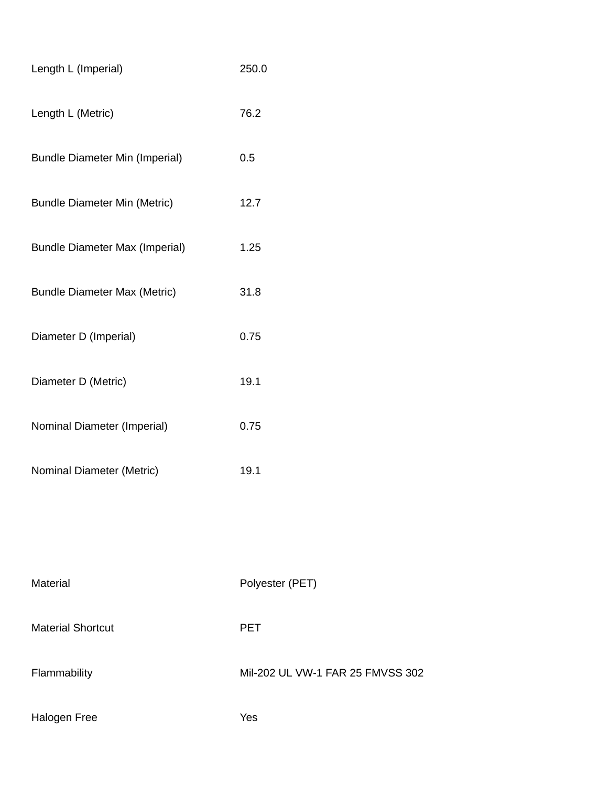| Length L (Imperial)                   | 250.0                   |
|---------------------------------------|-------------------------|
| Length L (Metric)                     | 76.2                    |
| <b>Bundle Diameter Min (Imperial)</b> | 0.5                     |
| <b>Bundle Diameter Min (Metric)</b>   | 12.7                    |
| <b>Bundle Diameter Max (Imperial)</b> | 1.25                    |
| <b>Bundle Diameter Max (Metric)</b>   | 31.8                    |
| Diameter D (Imperial)                 | 0.75                    |
| Diameter D (Metric)                   | 19.1                    |
| Nominal Diameter (Imperial)           | 0.75                    |
| Nominal Diameter (Metric)             | 19.1                    |
|                                       |                         |
|                                       |                         |
| <b>Material</b>                       | Polyester (PET)         |
| <b>Material Shortcut</b>              | <b>PET</b>              |
| ammahilitu                            | <b>MII QOQ LII AAAL</b> |

Flammability Mil-202 UL VW-1 FAR 25 FMVSS 302

Halogen Free Yes